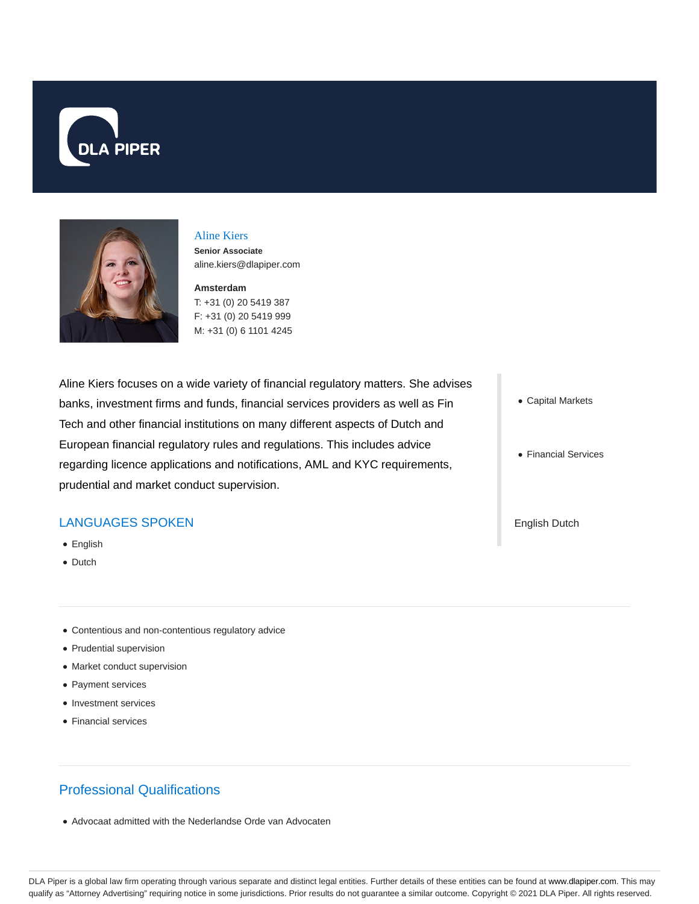



#### Aline Kiers

**Senior Associate** aline.kiers@dlapiper.com

**Amsterdam**

T: +31 (0) 20 5419 387 F: +31 (0) 20 5419 999 M: +31 (0) 6 1101 4245

Aline Kiers focuses on a wide variety of financial regulatory matters. She advises banks, investment firms and funds, financial services providers as well as Fin Tech and other financial institutions on many different aspects of Dutch and European financial regulatory rules and regulations. This includes advice regarding licence applications and notifications, AML and KYC requirements, prudential and market conduct supervision.

## LANGUAGES SPOKEN

- English
- Dutch
- Contentious and non-contentious regulatory advice
- Prudential supervision
- Market conduct supervision
- Payment services
- Investment services
- Financial services

# Professional Qualifications

Advocaat admitted with the Nederlandse Orde van Advocaten

- Capital Markets
- Financial Services

English Dutch